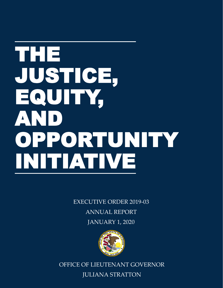# THE JUSTICE, EQUITY, AND OPPORTUNITY INITIATIVE

EXECUTIVE ORDER 2019-03 ANNUAL REPORT JANUARY 1, 2020



OFFICE OF LIEUTENANT GOVERNOR JULIANA STRATTON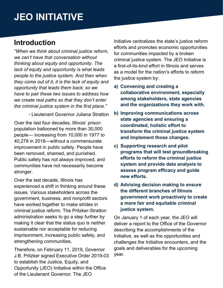### **Introduction**

*"When we think about criminal justice reform, we can't have that conversation without thinking about equity and opportunity. The lack of equity and opportunity is what leads people to the justice system. And then when they come out of it, it is the lack of equity and opportunity that leads them back; so we have to pair these two issues to address how we create real paths so that they don't enter the criminal justice system in the first place."* 

- Lieutenant Governor Juliana Stratton

Over the last four decades, Illinois' prison population ballooned by more than 30,000 people— increasing from 10,000 in 1977 to 40,278 in 2018—without a commensurate improvement in public safety. People have been removed, shamed, and punished. Public safety has not always improved, and communities have not necessarily become stronger.

Over the last decade, Illinois has experienced a shift in thinking around these issues. Various stakeholders across the government, business, and nonprofit sectors have worked together to make strides in criminal justice reform. The Pritzker-Stratton administration seeks to go a step further by making it clear that the status quo is neither sustainable nor acceptable for reducing imprisonment, increasing public safety, and strengthening communities.

Therefore, on February 11, 2019, Governor J.B. Pritzker signed Executive Order 2019-03 to establish the Justice, Equity, and Opportunity (JEO) Initiative within the Office of the Lieutenant Governor. The JEO

Initiative centralizes the state's justice reform efforts and promotes economic opportunities for communities impacted by a broken criminal justice system. The JEO Initiative is a first-of-its-kind effort in Illinois and serves as a model for the nation's efforts to reform the justice system by:

- **a) Convening and creating a collaborative environment, especially among stakeholders, state agencies and the organizations they work with.**
- **b) Improving communications across state agencies and ensuring a coordinated, holistic effort to transform the criminal justice system and implement those changes.**
- **c) Supporting research and pilot programs that will test groundbreaking efforts to reform the criminal justice system and provide data analysis to assess program efficacy and guide new efforts.**
- **d) Advising decision making to ensure the different branches of Illinois government work proactively to create a more fair and equitable criminal justice system.**

On January 1 of each year, the JEO will deliver a report to the Office of the Governor describing the accomplishments of the Initiative, as well as the opportunities and challenges the Initiative encounters, and the goals and deliverables for the upcoming year.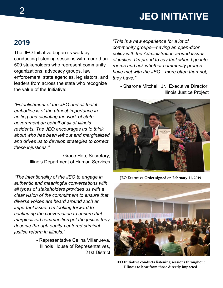### **2019**

The JEO Initiative began its work by conducting listening sessions with more than 500 stakeholders who represent community organizations, advocacy groups, law enforcement, state agencies, legislators, and leaders from across the state who recognize the value of the Initiative:

*"Establishment of the JEO and all that it embodies is of the utmost importance in uniting and elevating the work of state government on behalf of all of Illinois' residents. The JEO encourages us to think about who has been left out and marginalized and drives us to develop strategies to correct these injustices."* 

> - Grace Hou, Secretary, Illinois Department of Human Services

*"The intentionality of the JEO to engage in authentic and meaningful conversations with all types of stakeholders provides us with a clear vision of the commitment to ensure that diverse voices are heard around such an important issue. I'm looking forward to continuing the conversation to ensure that marginalized communities get the justice they deserve through equity-centered criminal justice reform in Illinois."* 

> - Representative Celina Villanueva, Illinois House of Representatives, 21st District

*"This is a new experience for a lot of community groups—having an open-door policy with the Administration around issues of justice. I'm proud to say that when I go into rooms and ask whether community groups have met with the JEO—more often than not, they have."* 

- Sharone Mitchell, Jr., Executive Director, Illinois Justice Project



**JEO Executive Order signed on February 11, 2019**



**JEO Initiative conducts listening sessions throughout Illinois to hear from those directly impacted**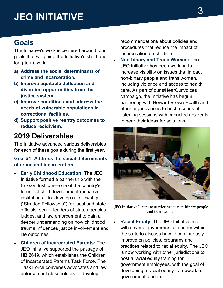### **Goals**

The Initiative's work is centered around four goals that will guide the Initiative's short and long-term work:

- **a) Address the social determinants of crime and incarceration.**
- **b) Improve equitable deflection and diversion opportunities from the justice system.**
- **c) Improve conditions and address the needs of vulnerable populations in correctional facilities.**
- **d) Support positive reentry outcomes to reduce recidivism.**

### **2019 Deliverables**

The Initiative advanced various deliverables for each of these goals during the first year.

### **Goal #1: Address the social determinants of crime and incarceration.**

- **Early Childhood Education:** The JEO Initiative formed a partnership with the Erikson Institute—one of the country's foremost child development research institutions—to develop a fellowship ("Stratton Fellowship") for local and state officials, senior leaders of state agencies, judges, and law enforcement to gain a deeper understanding on how childhood trauma influences justice involvement and life outcomes.
- **Children of Incarcerated Parents:** The JEO Initiative supported the passage of HB 2649, which establishes the Children of Incarcerated Parents Task Force. The Task Force convenes advocates and law enforcement stakeholders to develop

recommendations about policies and procedures that reduce the impact of incarceration on children.

• **Non-binary and Trans Women:** The JEO Initiative has been working to increase visibility on issues that impact non-binary people and trans women, including violence and access to health care. As part of our #HearOurVoices campaign, the Initiative has begun partnering with Howard Brown Health and other organizations to host a series of listening sessions with impacted residents to hear their ideas for solutions.



**JEO Initiative listens to service needs non-binary people and trans women**

• **Racial Equity:** The JEO Initiative met with several governmental leaders within the state to discuss how to continuously improve on policies, programs and practices related to racial equity. The JEO is now working with other jurisdictions to host a racial equity training for government employees, with the goal of developing a racial equity framework for government leaders.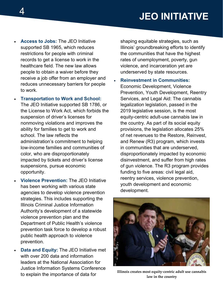- **Access to Jobs:** The JEO Initiative supported SB 1965, which reduces restrictions for people with criminal records to get a license to work in the healthcare field. The new law allows people to obtain a waiver before they receive a job offer from an employer and reduces unnecessary barriers for people to work.
	- **Transportation to Work and School:**  The JEO Initiative supported SB 1786, or the License to Work Act, which forbids the suspension of driver's licenses for nonmoving violations and improves the ability for families to get to work and school. The law reflects the administration's commitment to helping low-income families and communities of color, who are disproportionately impacted by tickets and driver's license suspensions, pursue economic opportunity.
- **Violence Prevention:** The JEO Initiative has been working with various state agencies to develop violence prevention strategies. This includes supporting the Illinois Criminal Justice Information Authority's development of a statewide violence prevention plan and the Department of Public Health's violence prevention task force to develop a robust public health approach to violence prevention.
- **Data and Equity:** The JEO Initiative met with over 200 data and information leaders at the National Association for Justice Information Systems Conference to explain the importance of data for

shaping equitable strategies, such as Illinois' groundbreaking efforts to identify the communities that have the highest rates of unemployment, poverty, gun violence, and incarceration yet are underserved by state resources.

• **Reinvestment in Communities:**  Economic Development, Violence Prevention, Youth Development, Reentry Services, and Legal Aid: The cannabis legalization legislation, passed in the 2019 legislative session, is the most equity-centric adult-use cannabis law in the country. As part of its social equity provisions, the legislation allocates 25% of net revenues to the Restore, Reinvest, and Renew (R3) program, which invests in communities that are underserved, disproportionately impacted by economic disinvestment, and suffer from high rates of gun violence. The R3 program provides funding to five areas: civil legal aid, reentry services, violence prevention, youth development and economic development.



**Illinois creates most equity-centric adult use cannabis law in the country**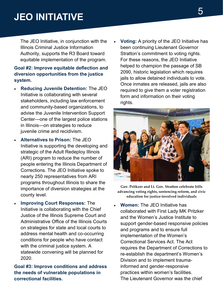The JEO Initiative, in conjunction with the Illinois Criminal Justice Information Authority, supports the R3 Board toward equitable implementation of the program.

### **Goal #2: Improve equitable deflection and diversion opportunities from the justice system.**

- **Reducing Juvenile Detention:** The JEO Initiative is collaborating with several stakeholders, including law enforcement and community-based organizations, to advise the Juvenile Intervention Support Center—one of the largest police stations in Illinois—on strategies to reduce juvenile crime and recidivism.
- **Alternatives to Prison:** The JEO Initiative is supporting the developing and strategic of the Adult Redeploy Illinois (ARI) program to reduce the number of people entering the Illinois Department of Corrections. The JEO Initiative spoke to nearly 250 representatives from ARI programs throughout Illinois to share the importance of diversion strategies at the county level.
- **Improving Court Responses:** The Initiative is collaborating with the Chief Justice of the Illinois Supreme Court and Administrative Office of the Illinois Courts on strategies for state and local courts to address mental health and co-occurring conditions for people who have contact with the criminal justice system. A statewide convening will be planned for 2020.

**Goal #3: Improve conditions and address the needs of vulnerable populations in correctional facilities.**

• **Voting:** A priority of the JEO Initiative has been continuing Lieutenant Governor Stratton's commitment to voting rights. For these reasons, the JEO Initiative helped to champion the passage of SB 2090, historic legislation which requires jails to allow detained individuals to vote. Once inmates are released, jails are also required to give them a voter registration form and information on their voting rights.



**Gov. Pritkzer and Lt. Gov. Straton celebrate bills advancing voting rights, sentencing reform, and civic education for justice-involved individuals**

• **Women:** The JEO Initiative has collaborated with First Lady MK Pritzker and the Women's Justice Institute to support gender-based responsive policies and programs and to ensure full implementation of the Women's Correctional Services Act. The Act requires the Department of Corrections to re-establish the department's Women's Division and to implement traumainformed and gender-responsive practices within women's facilities. The Lieutenant Governor was the chief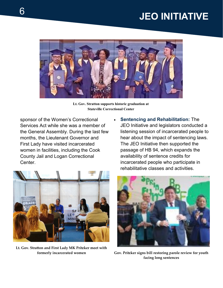

**Lt. Gov. Stratton supports historic graduation at Stateville Correctional Center**

sponsor of the Women's Correctional Services Act while she was a member of the General Assembly. During the last few months, the Lieutenant Governor and First Lady have visited incarcerated women in facilities, including the Cook County Jail and Logan Correctional Center.



Lt. Gov. Stratton and First Lady MK Pritzker meet with **formerly incarcerated women** 

• **Sentencing and Rehabilitation:** The JEO Initiative and legislators conducted a listening session of incarcerated people to hear about the impact of sentencing laws. The JEO Initiative then supported the passage of HB 94, which expands the availability of sentence credits for incarcerated people who participate in rehabilitative classes and activities.



**Gov. Pritker signs bill restoring parole review for youth facing long sentences**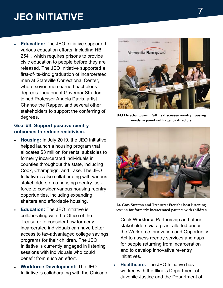• **Education:** The JEO Initiative supported various education efforts, including HB 2541, which requires prisons to provide civic education to people before they are released. The JEO Initiative supported a first-of-its-kind graduation of incarcerated men at Stateville Correctional Center, where seven men earned bachelor's degrees. Lieutenant Governor Stratton joined Professor Angela Davis, artist Chance the Rapper, and several other stakeholders to support the conferring of degrees.

#### **Goal #4: Support positive reentry outcomes to reduce recidivism.**

- **Housing:** In July 2019, the JEO Initiative helped launch a housing program that allocates \$3 million for rental subsidies to formerly incarcerated individuals in counties throughout the state, including Cook, Champaign, and Lake. The JEO Initiative is also collaborating with various stakeholders on a housing reentry task force to consider various housing reentry opportunities, including expanding shelters and affordable housing.
- **Education:** The JEO Initiative is collaborating with the Office of the Treasurer to consider how formerly incarcerated individuals can have better access to tax-advantaged college savings programs for their children. The JEO Initiative is currently engaged in listening sessions with individuals who could benefit from such an effort.
- **Workforce Development:** The JEO Initiative is collaborating with the Chicago



**JEO Director Quinn Rallins discusses reentry housing needs in panel with agency directors**



**Lt. Gov. Straton and Treasurer Frerichs host listening session for formerly incarcerated parents with children**

- Cook Workforce Partnership and other stakeholders via a grant allotted under the Workforce Innovation and Opportunity Act to assess reentry services and gaps for people returning from incarceration and to develop innovative re-entry initiatives.
- **Healthcare:** The JEO Initiative has worked with the Illinois Department of Juvenile Justice and the Department of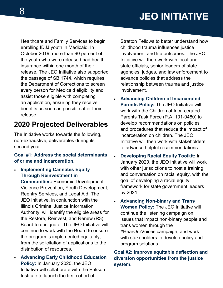Healthcare and Family Services to begin enrolling IDJJ youth in Medicaid. In October 2019, more than 90 percent of the youth who were released had health insurance within one month of their release. The JEO Initiative also supported the passage of SB 1744, which requires the Department of Corrections to screen every person for Medicaid eligibility and assist those eligible with completing an application, ensuring they receive benefits as soon as possible after their release.

### **2020 Projected Deliverables**

The Initiative works towards the following, non-exhaustive, deliverables during its second year.

### **Goal #1: Address the social determinants of crime and incarceration.**

- **Implementing Cannabis Equity Through Reinvestment in Communities:** Economic Development, Violence Prevention, Youth Development, Reentry Services, and Legal Aid: The JEO Initiative, in conjunction with the Illinois Criminal Justice Information Authority, will identify the eligible areas for the Restore, Reinvest, and Renew (R3) Board to designate. The JEO Initiative will continue to work with the Board to ensure the program is implemented equitably, from the solicitation of applications to the distribution of resources.
- **Advancing Early Childhood Education Policy:** In January 2020, the JEO Initiative will collaborate with the Erikson Institute to launch the first cohort of

Stratton Fellows to better understand how childhood trauma influences justice involvement and life outcomes. The JEO Initiative will then work with local and state officials, senior leaders of state agencies, judges, and law enforcement to advance policies that address the relationship between trauma and justice involvement.

- **Advancing Children of Incarcerated Parents Policy:** The JEO Initiative will work with the Children of Incarcerated Parents Task Force (P.A. 101-0480) to develop recommendations on policies and procedures that reduce the impact of incarceration on children. The JEO Initiative will then work with stakeholders to advance helpful recommendations.
- **Developing Racial Equity Toolkit:** In January 2020, the JEO Initiative will work with other jurisdictions to host a training and conversation on racial equity, with the goal of developing a racial equity framework for state government leaders by 2021.
- **Advancing Non-binary and Trans Women Policy:** The JEO Initiative will continue the listening campaign on issues that impact non-binary people and trans women through the #HearOurVoices campaign, and work with stakeholders to develop policy and program solutions.

### **Goal #2: Improve equitable deflection and diversion opportunities from the justice system.**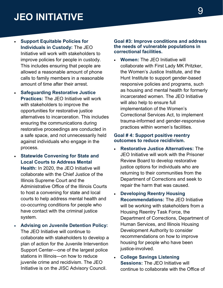- **Support Equitable Policies for Individuals in Custody:** The JEO Initiative will work with stakeholders to improve policies for people in custody. This includes ensuring that people are allowed a reasonable amount of phone calls to family members in a reasonable amount of time after their arrest.
- **Safeguarding Restorative Justice Practices:** The JEO Initiative will work with stakeholders to improve the opportunities for restorative justice alternatives to incarceration. This includes ensuring the communications during restorative proceedings are conducted in a safe space, and not unnecessarily held against individuals who engage in the process.
- **Statewide Convening for State and Local Courts to Address Mental Health:** In 2020, the JEO Initiative will collaborate with the Chief Justice of the Illinois Supreme Court and the Administrative Office of the Illinois Courts to host a convening for state and local courts to help address mental health and co-occurring conditions for people who have contact with the criminal justice system.
- **Advising on Juvenile Detention Policy:**  The JEO Initiative will continue to collaborate with stakeholders to develop a plan of action for the Juvenile Intervention Support Center—one of the largest police stations in Illinois—on how to reduce juvenile crime and recidivism. The JEO Initiative is on the JISC Advisory Council.

#### **Goal #3: Improve conditions and address the needs of vulnerable populations in correctional facilities.**

• **Women:** The JEO Initiative will collaborate with First Lady MK Pritzker, the Women's Justice Institute, and the Hunt Institute to support gender-based responsive policies and programs, such as housing and mental health for formerly incarcerated women. The JEO Initiative will also help to ensure full implementation of the Women's Correctional Services Act, to implement trauma-informed and gender-responsive practices within women's facilities.

#### **Goal # 4: Support positive reentry outcomes to reduce recidivism.**

- **Restorative Justice Alternatives:** The JEO Initiative will work with the Prisoner Review Board to develop restorative justice options for individuals who are returning to their communities from the Department of Corrections and seek to repair the harm that was caused.
- **Developing Reentry Housing Recommendations:** The JEO Initiative will be working with stakeholders from a Housing Reentry Task Force, the Department of Corrections, Department of Human Services, and Illinois Housing Development Authority to consider recommendations on how to improve housing for people who have been justice-involved.
- **College Savings Listening Sessions:** The JEO Initiative will continue to collaborate with the Office of